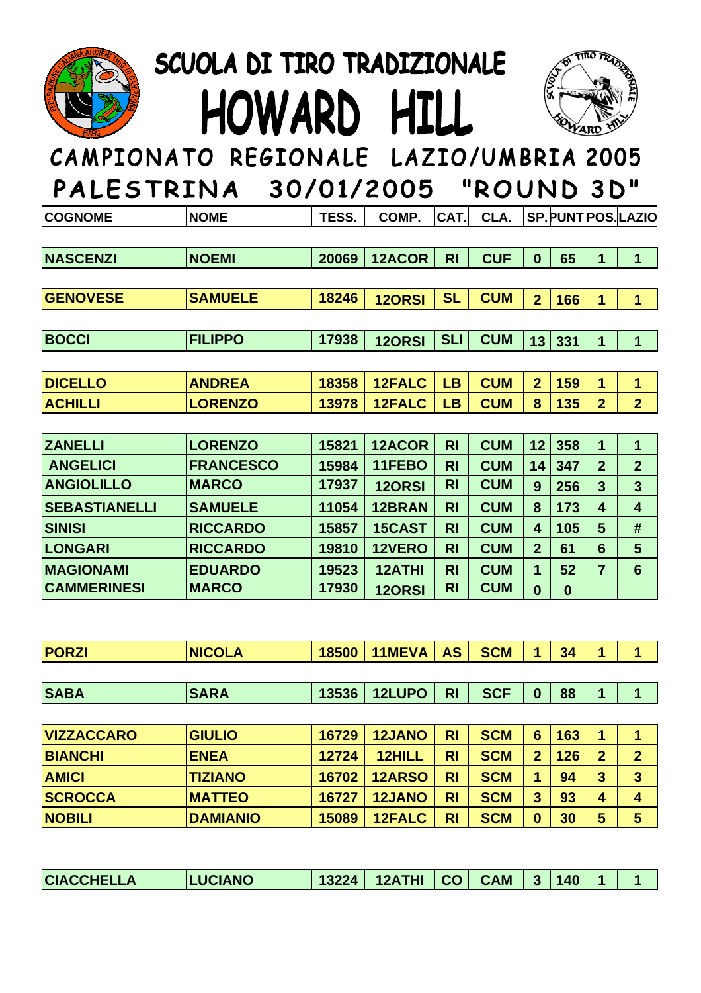

## SCUOLA DI TIRO TRADIZIONALE HOWARD HILL



## CAMPIONATO REGIONALE LAZIO/UMBRIA 2005

| PALES I RINA         |                  |       | 30/01/2005    |                | RUUND 3D   |                         |              |                |                         |
|----------------------|------------------|-------|---------------|----------------|------------|-------------------------|--------------|----------------|-------------------------|
| <b>COGNOME</b>       | <b>NOME</b>      | TESS. | COMP.         | CAT.           | CLA.       |                         |              |                | <b>SP.PUNTPOS.LAZIO</b> |
|                      |                  |       |               |                |            |                         |              |                |                         |
| <b>NASCENZI</b>      | <b>NOEMI</b>     | 20069 | 12ACOR        | R <sub>1</sub> | <b>CUF</b> | $\mathbf{0}$            | 65           | 1              | $\mathbf{1}$            |
|                      |                  |       |               |                |            |                         |              |                |                         |
| <b>GENOVESE</b>      | <b>SAMUELE</b>   | 18246 | <b>120RSI</b> | <b>SL</b>      | <b>CUM</b> | $\overline{2}$          | 166          | 1              | 1                       |
|                      |                  |       |               |                |            |                         |              |                |                         |
| <b>BOCCI</b>         | <b>FILIPPO</b>   | 17938 | <b>120RSI</b> | <b>SLI</b>     | <b>CUM</b> | 13                      | 331          | $\mathbf 1$    | $\mathbf{1}$            |
|                      |                  |       |               |                |            |                         |              |                |                         |
| <b>DICELLO</b>       | <b>ANDREA</b>    | 18358 | <b>12FALC</b> | <b>LB</b>      | <b>CUM</b> | $\overline{2}$          | 159          | 1              | $\mathbf{1}$            |
| <b>ACHILLI</b>       | <b>LORENZO</b>   | 13978 | <b>12FALC</b> | <b>LB</b>      | <b>CUM</b> | 8                       | 135          | $\overline{2}$ | $\overline{2}$          |
|                      |                  |       |               |                |            |                         |              |                |                         |
| <b>ZANELLI</b>       | <b>LORENZO</b>   | 15821 | 12ACOR        | R <sub>l</sub> | <b>CUM</b> | 12                      | 358          | 1              | 1                       |
| <b>ANGELICI</b>      | <b>FRANCESCO</b> | 15984 | 11FEBO        | <b>RI</b>      | <b>CUM</b> | 14                      | 347          | $\overline{2}$ | $\overline{2}$          |
| <b>ANGIOLILLO</b>    | <b>MARCO</b>     | 17937 | 12ORSI        | <b>RI</b>      | <b>CUM</b> | 9                       | 256          | $\overline{3}$ | 3                       |
| <b>SEBASTIANELLI</b> | <b>SAMUELE</b>   | 11054 | 12BRAN        | <b>RI</b>      | <b>CUM</b> | 8                       | 173          | 4              | $\overline{\mathbf{4}}$ |
| <b>SINISI</b>        | <b>RICCARDO</b>  | 15857 | 15CAST        | R <sub>l</sub> | <b>CUM</b> | $\overline{\mathbf{4}}$ | 105          | $5\phantom{1}$ | #                       |
| <b>LONGARI</b>       | <b>RICCARDO</b>  | 19810 | 12VERO        | <b>RI</b>      | <b>CUM</b> | $\overline{2}$          | 61           | $6\phantom{1}$ | 5                       |
| <b>MAGIONAMI</b>     | <b>EDUARDO</b>   | 19523 | <b>12ATHI</b> | <b>RI</b>      | <b>CUM</b> | $\mathbf 1$             | 52           | $\overline{7}$ | 6                       |
| <b>CAMMERINESI</b>   | <b>MARCO</b>     | 17930 | <b>120RSI</b> | <b>RI</b>      | <b>CUM</b> | $\bf{0}$                | $\mathbf{0}$ |                |                         |

| <b>PORZI</b> | <b>NICOLA</b> | 18500 | $11$ MEVA $ $ AS $ $ |           | <b>SCM</b> | $\overline{A}$   | 34 | A |  |
|--------------|---------------|-------|----------------------|-----------|------------|------------------|----|---|--|
|              |               |       |                      |           |            |                  |    |   |  |
| <b>SABA</b>  | <b>ISARA</b>  |       | 13536   12LUPO       | <b>RI</b> | <b>SCF</b> | $\boldsymbol{0}$ | 88 |   |  |

| <b>VIZZACCARO</b> | <b>GIULIO</b>   | 16729 | <b>12JANO</b> | <b>RI</b> | <b>SCM</b> | 6              | 163        | и              |                         |
|-------------------|-----------------|-------|---------------|-----------|------------|----------------|------------|----------------|-------------------------|
| <b>BIANCHI</b>    | <b>ENEA</b>     | 12724 | 12HILL        | <b>RI</b> | <b>SCM</b> | $\overline{2}$ | <b>126</b> | $\overline{2}$ | $\boldsymbol{2}$        |
| <b>AMICI</b>      | <b>TIZIANO</b>  | 16702 | <b>12ARSO</b> | <b>RI</b> | <b>SCM</b> |                | 94         | 3              | $\overline{\mathbf{3}}$ |
| <b>SCROCCA</b>    | <b>IMATTEO</b>  | 16727 | <b>12JANO</b> | <b>RI</b> | <b>SCM</b> | 3              | 93         | 4              |                         |
| <b>NOBILI</b>     | <b>DAMIANIO</b> | 15089 | 12FALC        | <b>RI</b> | <b>SCM</b> | $\bf{0}$       | 30         | 5              | 5                       |

| 12ATHI   CO <br><b>CIACCHELLA</b><br><b>CAM</b><br> 140<br>1322A<br><b>UCIANO</b><br>$\overline{\phantom{a}}$ |  |  |  |  |  |
|---------------------------------------------------------------------------------------------------------------|--|--|--|--|--|
|                                                                                                               |  |  |  |  |  |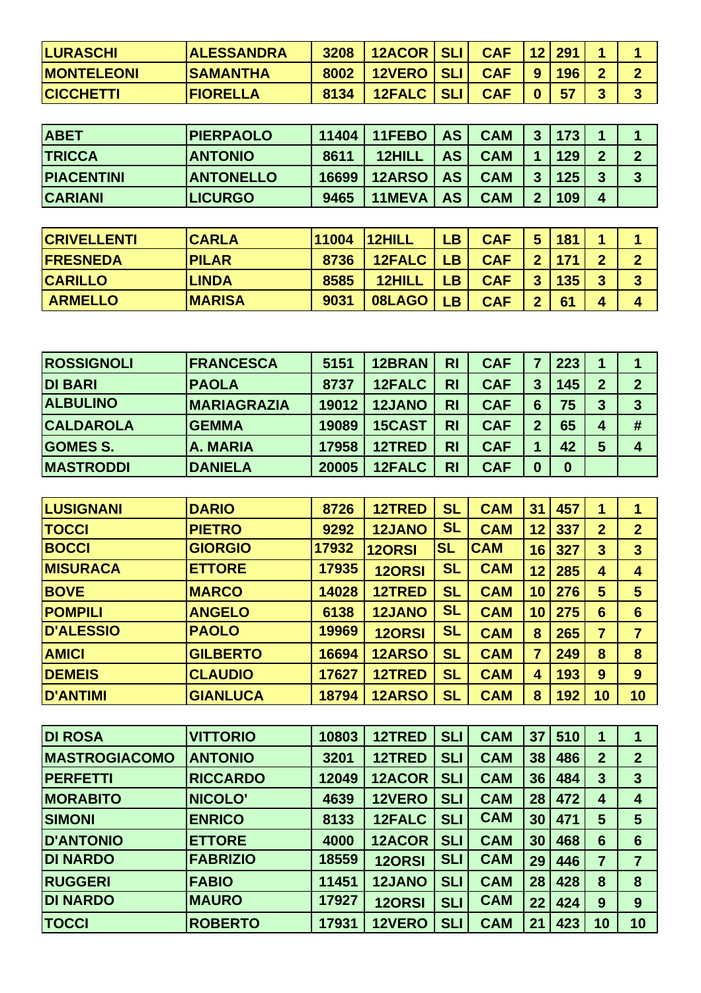| <b>LURASCHI</b>   | <b>ALESSANDRA</b> | 3208 | 12ACOR SLI | <b>CAF</b> |          | 12 291 |           |    |
|-------------------|-------------------|------|------------|------------|----------|--------|-----------|----|
| <b>MONTELEONI</b> | <b>SAMANTHA</b>   | 8002 | 12VERO SLI | <b>CAF</b> | 9        | 196    | $\bullet$ |    |
| <b>CICCHETTI</b>  | <b>IFIORELLA</b>  | 8134 | 12FALC SLI | <b>CAF</b> | $\bf{0}$ | 57     |           | v. |

| <b>ABET</b>       | <b>PIERPAOLO</b> | 11404 | 11FEBO        | <b>AS</b> | <b>CAM</b> | 3 | 173 |                |  |
|-------------------|------------------|-------|---------------|-----------|------------|---|-----|----------------|--|
| <b>TRICCA</b>     | <b>ANTONIO</b>   | 8611  | 12HILL        | AS        | <b>CAM</b> |   | 129 | $\overline{2}$ |  |
| <b>PIACENTINI</b> | <b>ANTONELLO</b> | 16699 | <b>12ARSO</b> | <b>AS</b> | <b>CAM</b> | 3 | 125 | 3              |  |
| <b>CARIANI</b>    | <b>LICURGO</b>   | 9465  | 11MEVA        | <b>AS</b> | <b>CAM</b> | 2 | 109 | 4              |  |

| <b>CRIVELLENTI</b> | <b>CARLA</b>  | 11004 | 12HILL | <b>LB</b> | <b>CAF</b> | 5              | 181 | 4                       |        |
|--------------------|---------------|-------|--------|-----------|------------|----------------|-----|-------------------------|--------|
| <b>FRESNEDA</b>    | <b>PILAR</b>  | 8736  | 12FALC | <b>LB</b> | <b>CAF</b> | $\mathbf{P}$   | 171 | $\overline{2}$          |        |
| <b>CARILLO</b>     | <b>ILINDA</b> | 8585  | 12HILL | LВ        | <b>CAF</b> | 3 <sup>1</sup> | 135 | $\overline{\mathbf{3}}$ | ച<br>J |
| <b>ARMELLO</b>     | <b>MARISA</b> | 9031  | 08LAGO | LB        | <b>CAF</b> | $\mathbf{D}$   | 61  | 4                       |        |

| <b>ROSSIGNOLI</b> | <b>IFRANCESCA</b>  | 5151  | 12BRAN        | <b>RI</b> | <b>CAF</b> | 7        | 223      | 1              |   |
|-------------------|--------------------|-------|---------------|-----------|------------|----------|----------|----------------|---|
| <b>DI BARI</b>    | <b>PAOLA</b>       | 8737  | 12FALC        | <b>RI</b> | <b>CAF</b> | 3        | 145      | $\overline{2}$ |   |
| <b>ALBULINO</b>   | <b>MARIAGRAZIA</b> | 19012 | <b>12JANO</b> | <b>RI</b> | <b>CAF</b> | 6        | 75       | 3              |   |
| <b>CALDAROLA</b>  | <b>GEMMA</b>       | 19089 | 15CAST        | <b>RI</b> | <b>CAF</b> | 2        | 65       | $\overline{4}$ | # |
| <b>GOMES S.</b>   | A. MARIA           | 17958 | 12TRED        | <b>RI</b> | <b>CAF</b> | 4        | 42       | 5              | 4 |
| <b>MASTRODDI</b>  | <b>DANIELA</b>     | 20005 | <b>12FALC</b> | <b>RI</b> | <b>CAF</b> | $\bf{0}$ | $\bf{0}$ |                |   |

| LUSIGNANI        | <b>DARIO</b>    | 8726  | 12TRED        | <b>SL</b> | <b>CAM</b> | 31                      | 457 | 1               |                 |
|------------------|-----------------|-------|---------------|-----------|------------|-------------------------|-----|-----------------|-----------------|
| <b>TOCCI</b>     | <b>PIETRO</b>   | 9292  | <b>12JANO</b> | <b>SL</b> | <b>CAM</b> | 12                      | 337 | $\overline{2}$  | $\overline{2}$  |
| <b>BOCCI</b>     | <b>GIORGIO</b>  | 17932 | <b>120RSI</b> | <b>SL</b> | <b>CAM</b> | 16                      | 327 | 3               | $\overline{3}$  |
| <b>MISURACA</b>  | <b>ETTORE</b>   | 17935 | <b>120RSI</b> | <b>SL</b> | <b>CAM</b> | 12                      | 285 | 4               | 4               |
| <b>BOVE</b>      | <b>MARCO</b>    | 14028 | 12TRED        | <b>SL</b> | <b>CAM</b> | 10                      | 276 | 5               | 5               |
| <b>POMPILI</b>   | <b>ANGELO</b>   | 6138  | <b>12JANO</b> | <b>SL</b> | <b>CAM</b> | 10                      | 275 | $6\phantom{1}6$ | $6\phantom{1}6$ |
| <b>D'ALESSIO</b> | <b>PAOLO</b>    | 19969 | <b>120RSI</b> | <b>SL</b> | <b>CAM</b> | 8                       | 265 | 7               | 7               |
| <b>AMICI</b>     | <b>GILBERTO</b> | 16694 | <b>12ARSO</b> | <b>SL</b> | <b>CAM</b> | 7                       | 249 | 8               | 8               |
| <b>DEMEIS</b>    | <b>CLAUDIO</b>  | 17627 | 12TRED        | <b>SL</b> | <b>CAM</b> | $\overline{\mathbf{4}}$ | 193 | 9               | 9               |
| <b>D'ANTIMI</b>  | <b>GIANLUCA</b> | 18794 | <b>12ARSO</b> | <b>SL</b> | <b>CAM</b> | 8                       | 192 | 10              | 10              |

| <b>DI ROSA</b>       | <b>VITTORIO</b> | 10803 | 12TRED        | <b>SLI</b> | <b>CAM</b> | 37 | 510 | 1               |                         |
|----------------------|-----------------|-------|---------------|------------|------------|----|-----|-----------------|-------------------------|
| <b>MASTROGIACOMO</b> | <b>ANTONIO</b>  | 3201  | 12TRED        | <b>SLI</b> | <b>CAM</b> | 38 | 486 | $\overline{2}$  | $\overline{2}$          |
| <b>PERFETTI</b>      | <b>RICCARDO</b> | 12049 | 12ACOR        | <b>SLI</b> | <b>CAM</b> | 36 | 484 | 3               | $\mathbf{3}$            |
| <b>MORABITO</b>      | NICOLO'         | 4639  | 12VERO        | <b>SLI</b> | <b>CAM</b> | 28 | 472 | 4               | $\overline{\mathbf{4}}$ |
| <b>SIMONI</b>        | <b>ENRICO</b>   | 8133  | <b>12FALC</b> | <b>SLI</b> | <b>CAM</b> | 30 | 471 | 5               | 5                       |
| <b>D'ANTONIO</b>     | <b>ETTORE</b>   | 4000  | 12ACOR        | <b>SLI</b> | <b>CAM</b> | 30 | 468 | $6\phantom{1}6$ | 6                       |
| <b>DI NARDO</b>      | <b>FABRIZIO</b> | 18559 | <b>120RSI</b> | <b>SLI</b> | <b>CAM</b> | 29 | 446 | 7               | 7                       |
| <b>RUGGERI</b>       | <b>FABIO</b>    | 11451 | <b>12JANO</b> | <b>SLI</b> | <b>CAM</b> | 28 | 428 | 8               | 8                       |
| <b>DI NARDO</b>      | <b>MAURO</b>    | 17927 | <b>120RSI</b> | <b>SLI</b> | <b>CAM</b> | 22 | 424 | 9               | 9                       |
| <b>TOCCI</b>         | <b>ROBERTO</b>  | 17931 | 12VERO        | <b>SLI</b> | <b>CAM</b> | 21 | 423 | 10              | 10                      |
|                      |                 |       |               |            |            |    |     |                 |                         |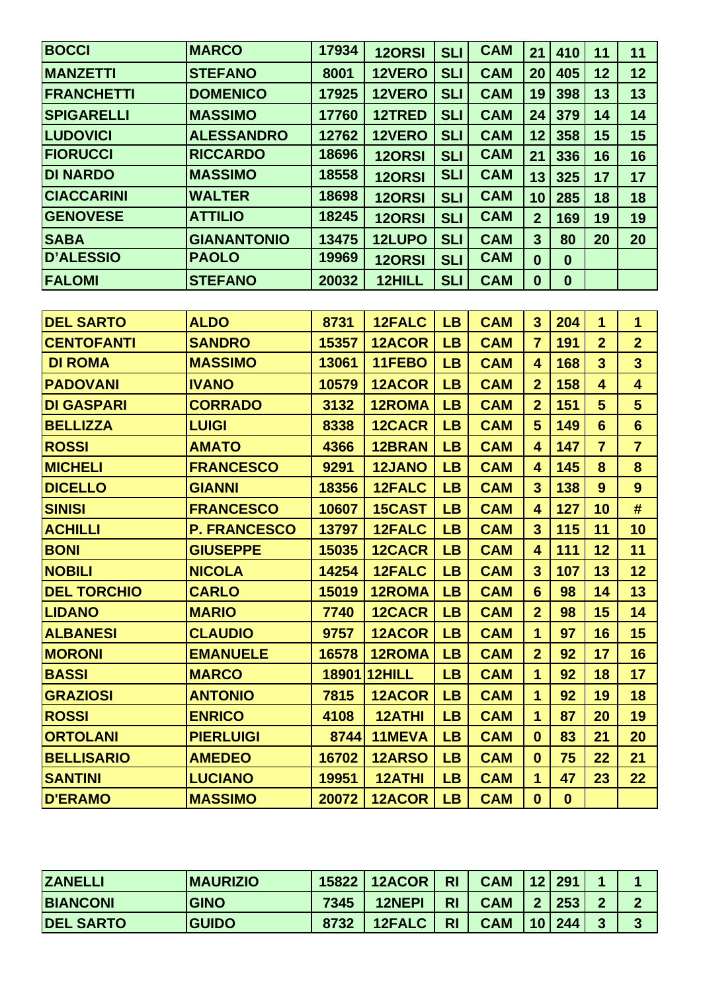| <b>BOCCI</b>       | <b>MARCO</b>        | 17934 | <b>120RSI</b> | <b>SLI</b> | <b>CAM</b> | 21                      | 410              | 11                      | 11                      |
|--------------------|---------------------|-------|---------------|------------|------------|-------------------------|------------------|-------------------------|-------------------------|
| <b>MANZETTI</b>    | <b>STEFANO</b>      | 8001  | 12VERO        | <b>SLI</b> | <b>CAM</b> | 20                      | 405              | 12                      | 12                      |
| <b>FRANCHETTI</b>  | <b>DOMENICO</b>     | 17925 | 12VERO        | <b>SLI</b> | <b>CAM</b> | 19                      | 398              | 13                      | 13                      |
| <b>SPIGARELLI</b>  | <b>MASSIMO</b>      | 17760 | 12TRED        | <b>SLI</b> | <b>CAM</b> | 24                      | 379              | 14                      | 14                      |
| <b>LUDOVICI</b>    | <b>ALESSANDRO</b>   | 12762 | 12VERO        | <b>SLI</b> | <b>CAM</b> | 12                      | 358              | 15                      | 15                      |
| <b>FIORUCCI</b>    | <b>RICCARDO</b>     | 18696 | <b>120RSI</b> | <b>SLI</b> | <b>CAM</b> | 21                      | 336              | 16                      | 16                      |
| <b>DI NARDO</b>    | <b>MASSIMO</b>      | 18558 | <b>120RSI</b> | <b>SLI</b> | <b>CAM</b> | 13                      | 325              | 17                      | 17                      |
| <b>CIACCARINI</b>  | <b>WALTER</b>       | 18698 | <b>120RSI</b> | <b>SLI</b> | <b>CAM</b> | 10                      | 285              | 18                      | 18                      |
| <b>GENOVESE</b>    | <b>ATTILIO</b>      | 18245 | <b>120RSI</b> | <b>SLI</b> | <b>CAM</b> | $\overline{2}$          | 169              | 19                      | 19                      |
| <b>SABA</b>        | <b>GIANANTONIO</b>  | 13475 | 12LUPO        | <b>SLI</b> | <b>CAM</b> | $\mathbf{3}$            | 80               | 20                      | 20                      |
| <b>D'ALESSIO</b>   | <b>PAOLO</b>        | 19969 | <b>120RSI</b> | <b>SLI</b> | <b>CAM</b> | $\mathbf 0$             | $\boldsymbol{0}$ |                         |                         |
| <b>FALOMI</b>      | <b>STEFANO</b>      | 20032 | 12HILL        | <b>SLI</b> | <b>CAM</b> | $\boldsymbol{0}$        | $\boldsymbol{0}$ |                         |                         |
|                    |                     |       |               |            |            |                         |                  |                         |                         |
| <b>DEL SARTO</b>   | <b>ALDO</b>         | 8731  | <b>12FALC</b> | <b>LB</b>  | <b>CAM</b> | $\mathbf{3}$            | 204              | 1                       | $\mathbf{1}$            |
| <b>CENTOFANTI</b>  | <b>SANDRO</b>       | 15357 | <b>12ACOR</b> | <b>LB</b>  | <b>CAM</b> | $\overline{7}$          | 191              | $\overline{2}$          | $\overline{2}$          |
| <b>DI ROMA</b>     | <b>MASSIMO</b>      | 13061 | 11FEBO        | <b>LB</b>  | <b>CAM</b> | 4                       | 168              | $\overline{\mathbf{3}}$ | $\overline{\mathbf{3}}$ |
| <b>PADOVANI</b>    | <b>IVANO</b>        | 10579 | <b>12ACOR</b> | <b>LB</b>  | <b>CAM</b> | $\overline{2}$          | 158              | 4                       | 4                       |
| <b>DI GASPARI</b>  | <b>CORRADO</b>      | 3132  | <b>12ROMA</b> | <b>LB</b>  | <b>CAM</b> | $\overline{2}$          | 151              | $5\phantom{1}$          | $5\phantom{1}$          |
| <b>BELLIZZA</b>    | <b>LUIGI</b>        | 8338  | <b>12CACR</b> | <b>LB</b>  | <b>CAM</b> | $5\phantom{1}$          | 149              | $6\phantom{1}6$         | $6\phantom{1}$          |
| <b>ROSSI</b>       | <b>AMATO</b>        | 4366  | <b>12BRAN</b> | <b>LB</b>  | <b>CAM</b> | 4                       | 147              | $\overline{7}$          | $\overline{7}$          |
| <b>MICHELI</b>     | <b>FRANCESCO</b>    | 9291  | <b>12JANO</b> | <b>LB</b>  | <b>CAM</b> | $\overline{\mathbf{4}}$ | 145              | 8                       | 8                       |
| <b>DICELLO</b>     | <b>GIANNI</b>       | 18356 | <b>12FALC</b> | <b>LB</b>  | <b>CAM</b> | $\overline{3}$          | 138              | 9                       | 9                       |
| <b>SINISI</b>      | <b>FRANCESCO</b>    | 10607 | <b>15CAST</b> | <b>LB</b>  | <b>CAM</b> | $\overline{\mathbf{4}}$ | 127              | 10                      | #                       |
| <b>ACHILLI</b>     | <b>P. FRANCESCO</b> | 13797 | 12FALC        | <b>LB</b>  | <b>CAM</b> | $\mathbf{3}$            | 115              | 11                      | 10                      |
| <b>BONI</b>        | <b>GIUSEPPE</b>     | 15035 | 12CACR        | <b>LB</b>  | <b>CAM</b> | 4                       | 111              | 12                      | 11                      |
| <b>NOBILI</b>      | <b>NICOLA</b>       | 14254 | <b>12FALC</b> | LB         | <b>CAM</b> | $\mathbf{3}$            | 107              | 13                      | 12                      |
| <b>DEL TORCHIO</b> | <b>CARLO</b>        | 15019 | 12ROMA        | LB         | <b>CAM</b> | 6                       | 98               | 14                      | 13                      |
| <b>LIDANO</b>      | <b>MARIO</b>        | 7740  | 12CACR        | LB         | <b>CAM</b> | $\overline{2}$          | 98               | 15                      | 14                      |
| <b>ALBANESI</b>    | <b>CLAUDIO</b>      | 9757  | 12ACOR        | LB         | <b>CAM</b> | $\mathbf 1$             | 97               | 16                      | 15                      |
| <b>MORONI</b>      | <b>EMANUELE</b>     | 16578 | <b>12ROMA</b> | LB         | <b>CAM</b> | $\overline{2}$          | 92               | 17                      | 16                      |
| <b>BASSI</b>       | <b>MARCO</b>        |       | 18901 12HILL  | LB         | <b>CAM</b> | $\mathbf 1$             | 92               | 18                      | 17                      |
| <b>GRAZIOSI</b>    | <b>ANTONIO</b>      | 7815  | <b>12ACOR</b> | LB         | <b>CAM</b> | $\mathbf{1}$            | 92               | 19                      | 18                      |
| <b>ROSSI</b>       | <b>ENRICO</b>       | 4108  | <b>12ATHI</b> | LB         | <b>CAM</b> | $\mathbf 1$             | 87               | 20                      | 19                      |
| <b>ORTOLANI</b>    | <b>PIERLUIGI</b>    | 8744  | 11MEVA        | LB         | <b>CAM</b> | $\bf{0}$                | 83               | 21                      | 20                      |
| <b>BELLISARIO</b>  | <b>AMEDEO</b>       | 16702 | <b>12ARSO</b> | LB         | <b>CAM</b> | $\mathbf{0}$            | 75               | 22                      | 21                      |
| <b>SANTINI</b>     | <b>LUCIANO</b>      | 19951 | <b>12ATHI</b> | LB         | <b>CAM</b> | $\mathbf 1$             | 47               | 23                      | 22                      |
| <b>D'ERAMO</b>     | <b>MASSIMO</b>      | 20072 | 12ACOR        | LB         | <b>CAM</b> | $\bf{0}$                | $\mathbf{0}$     |                         |                         |

| <b>ZANELLI</b>   | <b>IMAURIZIO</b> |      | 15822   12ACOR | <b>RI</b>      | <b>CAM</b> |                 | 12 291 |                            |   |
|------------------|------------------|------|----------------|----------------|------------|-----------------|--------|----------------------------|---|
| <b>BIANCONI</b>  | <b>GINO</b>      | 7345 | <b>12NEPI</b>  | R <sub>l</sub> | <b>CAM</b> |                 | 253    | $\boldsymbol{\mathcal{D}}$ |   |
| <b>DEL SARTO</b> | <b>GUIDO</b>     | 8732 | 12FALC         | <b>RI</b>      | <b>CAM</b> | 10 <sup>1</sup> | 244    | 3                          | J |